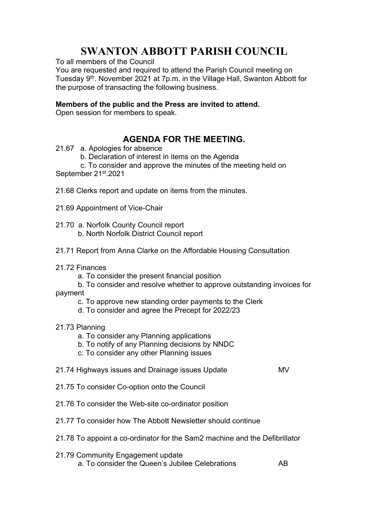## **SWANTON ABBOTT PARISH COUNCIL**

To all members of the Council

You are requested and required to attend the Parish Council meeting on Tuesday 9<sup>th</sup>. November 2021 at 7p.m. in the Village Hall, Swanton Abbott for the purpose of transacting the following business.

## **Members of the public and the Press are invited to attend.**

Open session for members to speak.

## **AGENDA FOR THE MEETING.**

- 21.67 a. Apologies for absence
	- b. Declaration of interest in items on the Agenda

 c. To consider and approve the minutes of the meeting held on September 21<sup>st</sup>.2021

- 21.68 Clerks report and update on items from the minutes.
- 21.69 Appointment of Vice-Chair
- 21.70 a. Norfolk County Council report b. North Norfolk District Council report
- 21.71 Report from Anna Clarke on the Affordable Housing Consultation
- 21.72 Finances
	- a. To consider the present financial position
- b. To consider and resolve whether to approve outstanding invoices for payment
	- c. To approve new standing order payments to the Clerk
	- d. To consider and agree the Precept for 2022/23
- 21.73 Planning
	- a. To consider any Planning applications
	- b. To notify of any Planning decisions by NNDC
	- c. To consider any other Planning issues

## 21.74 Highways issues and Drainage issues Update MV

- 21.75 To consider Co-option onto the Council
- 21.76 To consider the Web-site co-ordinator position
- 21.77 To consider how The Abbott Newsletter should continue
- 21.78 To appoint a co-ordinator for the Sam2 machine and the Defibrillator
- 21.79 Community Engagement update a. To consider the Queen's Jubilee Celebrations AB